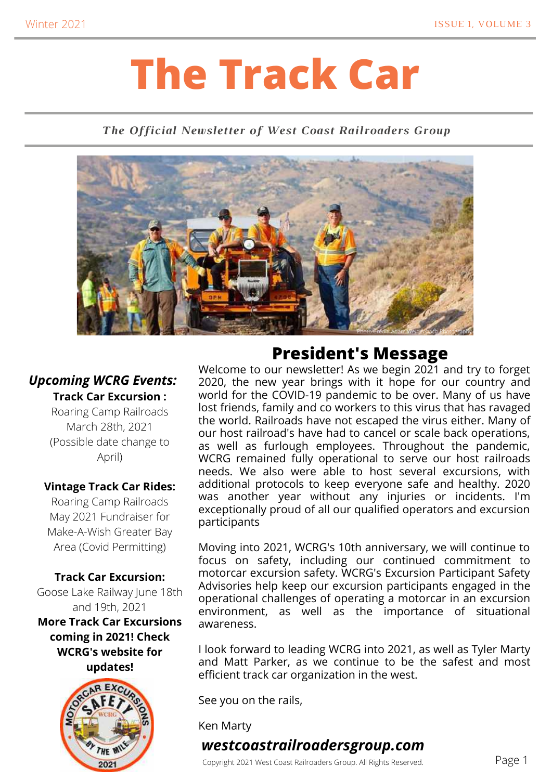# **The Track Car**

#### *The Official Newsletter of West Coast Railroaders Group*



#### *Upcoming WCRG Events:* **Track Car Excursion :**

Roaring Camp Railroads March 28th, 2021 (Possible date change to April)

#### **Vintage Track Car Rides:**

Roaring Camp Railroads May 2021 Fundraiser for Make-A-Wish Greater Bay Area (Covid Permitting)

### **Track Car Excursion:**

Goose Lake Railway June 18th and 19th, 2021 **More Track Car Excursions**

**coming in 2021! Check WCRG's website for updates!**



## **President's Message**

Welcome to our newsletter! As we begin 2021 and try to forget 2020, the new year brings with it hope for our country and world for the COVID-19 pandemic to be over. Many of us have lost friends, family and co workers to this virus that has ravaged the world. Railroads have not escaped the virus either. Many of our host railroad's have had to cancel or scale back operations, as well as furlough employees. Throughout the pandemic, WCRG remained fully operational to serve our host railroads needs. We also were able to host several excursions, with additional protocols to keep everyone safe and healthy. 2020 was another year without any injuries or incidents. I'm exceptionally proud of all our qualified operators and excursion participants

Moving into 2021, WCRG's 10th anniversary, we will continue to focus on safety, including our continued commitment to motorcar excursion safety. WCRG's Excursion Participant Safety Advisories help keep our excursion participants engaged in the operational challenges of operating a motorcar in an excursion environment, as well as the importance of situational awareness.

I look forward to leading WCRG into 2021, as well as Tyler Marty and Matt Parker, as we continue to be the safest and most efficient track car organization in the west.

See you on the rails,

Ken Marty

#### *westcoastrailroadersgroup.com*

Copyright 2021 West Coast Railroaders Group. All Rights Reserved.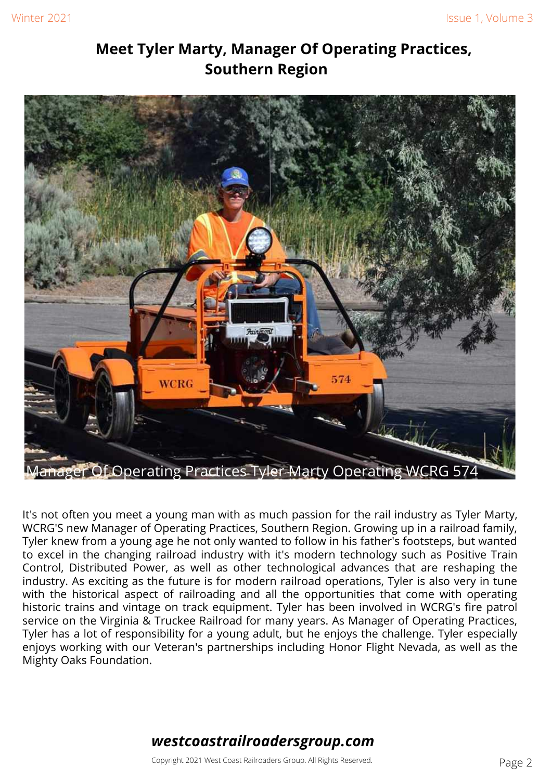#### **Meet Tyler Marty, Manager Of Operating Practices, Southern Region**



It's not often you meet a young man with as much passion for the rail industry as Tyler Marty, WCRG'S new Manager of Operating Practices, Southern Region. Growing up in a railroad family, Tyler knew from a young age he not only wanted to follow in his father's footsteps, but wanted to excel in the changing railroad industry with it's modern technology such as Positive Train Control, Distributed Power, as well as other technological advances that are reshaping the industry. As exciting as the future is for modern railroad operations, Tyler is also very in tune with the historical aspect of railroading and all the opportunities that come with operating historic trains and vintage on track equipment. Tyler has been involved in WCRG's fire patrol service on the Virginia & Truckee Railroad for many years. As Manager of Operating Practices, Tyler has a lot of responsibility for a young adult, but he enjoys the challenge. Tyler especially enjoys working with our Veteran's partnerships including Honor Flight Nevada, as well as the Mighty Oaks Foundation.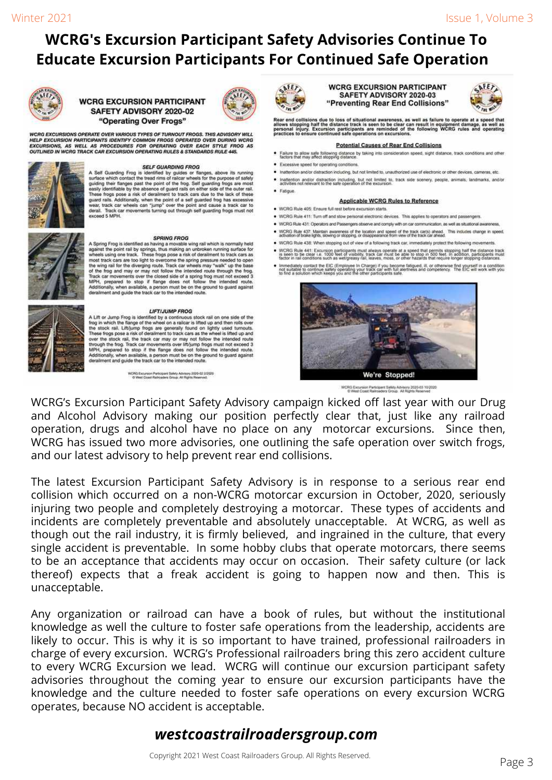# **WCRG's Excursion Participant Safety Advisories Continue To Educate Excursion Participants For Continued Safe Operation**



#### **WCRG EXCURSION PARTICIPANT** SAFETY ADVISORY 2020-02 "Operating Over Frogs"

WCRG EXCURSIONS OPERATE OVER VARIOUS TYPES OF TURNOUT FROGS. THIS ADVISORY WILL<br>HELP EXCURSION PARTICIPANTS IDENTIFY COMMON FROGS OPERATED OVER DURING WCRG<br>EXCURSIONS, AS WELL AS PROCEDURES FOR OPERATING OVER EACH STYLE FR



#### **SELF GUARDING FROG**

A Self Guarding Frog is identified by guides or flanges, above its running surface which contact the tread rims of railcar wheels for the purpose of safely surface which contact the tread rims of railcar wheels for the purpose of safely<br>guiding their flanges past the point of the frog. Self guarding frogs are most<br>easily identifiable by the absence of guard rails on either si

A Spring Frog is identified as having a movable wing rail which is normally held against the point rail by spirings, thus making an unbroken running surface for wheels using one track. These frogs pose a risk of derailmen

**LIFT/JUMP FROG**<br>
LIFT/JUMP FROG<br>
A Lift or Jump Frog is identified by a continuous stock rail on one side of the<br>
frog in which the flange of the whele on a railcar is lifted up and then of<br>
to the stock rail. Lift/jump

WCRG Excursion Participant Safety Advisory 2000-02 2/2020<br>O Vitet Coast Ralinoaders Group, Alt Rights Reserved.



**WCRG EXCURSION PARTICIPANT** SAFETY ADVISORY 2020-03 "Preventing Rear End Collisions"



Rear end collisions due to loss of situational awareness, as well as failure to operate at a speed that<br>allows stopping half the distance track is seen to be clear can result in equipment damage, as well as<br>personal injury

#### **Potential Causes of Rear End Collisions**

- . Failure to allow safe following distance by taking into consideration speed, sight distance, track conditions and other factors that may affect stopping distance.
- · Excessive speed for operating conditions
- . Inattention and/or distraction including, but not limited to, unauthorized use of electronic or other devices, cameras, etc.
- Inattention and/or distraction including, but not limited to, track side scenery, people, animals, landmarks, and/or activities not relevant to the safe operation of the excursion.
- · Fatigue

#### **Applicable WCRG Rules to Reference**

- . WCRG Rule 405: Ensure full rest before excursion starts.
- . WCRG Rule 411: Turn off and stow personal electronic devices. This applies to operators and passengers.
- . WCRG Rule 431. Operators and Passengers observe and comply with on car communication, as well as situational awares
- . WCRG Rule 437: Maintain awareness of the location and speed of the track car(s) ahead. This includes change in speed, advance in speed, . WCRG Rule 438: When stopping out of view of a following track car, immediately protect the following movements.
- . WCRG Rule 441: Excursion participants must always operate at a speed that permits stopping half the distance track<br>is seen to be clear i.e. 1000 feet of visibility, track car must be able to stop in 500 feet. In addition
- Immediately contact the EIC (Employee In Charge) if you become fatigued, it, or otherwise find yourself in a condition<br>not suitable to continue safely operating your track car with full allertness and competency. The EIC w



WCRG Excursion Participant Safety Advisory 2020-03 10/2020<br>© West Coast Railroaders Group. At Rights Reserved

WCRG's Excursion Participant Safety Advisory campaign kicked off last year with our Drug and Alcohol Advisory making our position perfectly clear that, just like any railroad operation, drugs and alcohol have no place on any motorcar excursions. Since then, WCRG has issued two more advisories, one outlining the safe operation over switch frogs, and our latest advisory to help prevent rear end collisions.

The latest Excursion Participant Safety Advisory is in response to a serious rear end collision which occurred on a non-WCRG motorcar excursion in October, 2020, seriously injuring two people and completely destroying a motorcar. These types of accidents and incidents are completely preventable and absolutely unacceptable. At WCRG, as well as though out the rail industry, it is firmly believed, and ingrained in the culture, that every single accident is preventable. In some hobby clubs that operate motorcars, there seems to be an acceptance that accidents may occur on occasion. Their safety culture (or lack thereof) expects that a freak accident is going to happen now and then. This is unacceptable.

Any organization or railroad can have a book of rules, but without the institutional knowledge as well the culture to foster safe operations from the leadership, accidents are likely to occur. This is why it is so important to have trained, professional railroaders in charge of every excursion. WCRG's Professional railroaders bring this zero accident culture to every WCRG Excursion we lead. WCRG will continue our excursion participant safety advisories throughout the coming year to ensure our excursion participants have the knowledge and the culture needed to foster safe operations on every excursion WCRG operates, because NO accident is acceptable.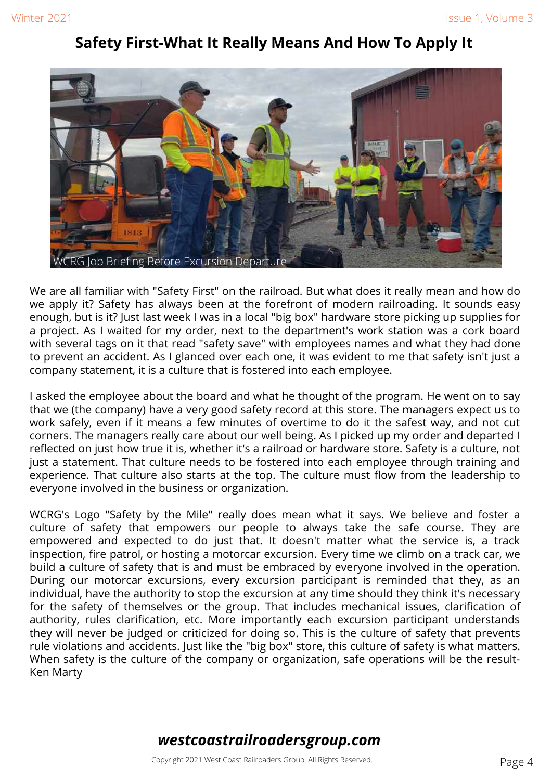#### **Safety First-What It Really Means And How To Apply It**



We are all familiar with "Safety First" on the railroad. But what does it really mean and how do we apply it? Safety has always been at the forefront of modern railroading. It sounds easy enough, but is it? Just last week I was in a local "big box" hardware store picking up supplies for a project. As I waited for my order, next to the department's work station was a cork board with several tags on it that read "safety save" with employees names and what they had done to prevent an accident. As I glanced over each one, it was evident to me that safety isn't just a company statement, it is a culture that is fostered into each employee.

I asked the employee about the board and what he thought of the program. He went on to say that we (the company) have a very good safety record at this store. The managers expect us to work safely, even if it means a few minutes of overtime to do it the safest way, and not cut corners. The managers really care about our well being. As I picked up my order and departed I reflected on just how true it is, whether it's a railroad or hardware store. Safety is a culture, not just a statement. That culture needs to be fostered into each employee through training and experience. That culture also starts at the top. The culture must flow from the leadership to everyone involved in the business or organization.

WCRG's Logo "Safety by the Mile" really does mean what it says. We believe and foster a culture of safety that empowers our people to always take the safe course. They are empowered and expected to do just that. It doesn't matter what the service is, a track inspection, fire patrol, or hosting a motorcar excursion. Every time we climb on a track car, we build a culture of safety that is and must be embraced by everyone involved in the operation. During our motorcar excursions, every excursion participant is reminded that they, as an individual, have the authority to stop the excursion at any time should they think it's necessary for the safety of themselves or the group. That includes mechanical issues, clarification of authority, rules clarification, etc. More importantly each excursion participant understands they will never be judged or criticized for doing so. This is the culture of safety that prevents rule violations and accidents. Just like the "big box" store, this culture of safety is what matters. When safety is the culture of the company or organization, safe operations will be the result-Ken Marty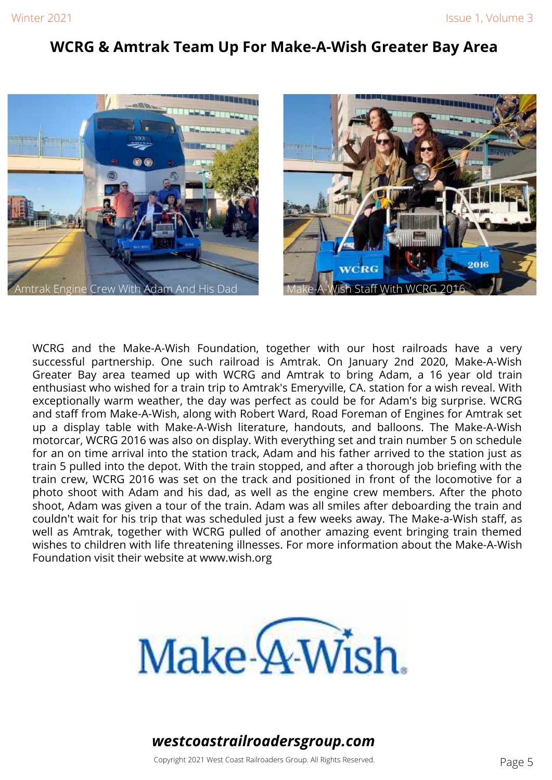#### **WCRG & Amtrak Team Up For Make-A-Wish Greater Bay Area**





WCRG and the Make-A-Wish Foundation, together with our host railroads have a very successful partnership. One such railroad is Amtrak. On January 2nd 2020, Make-A-Wish Greater Bay area teamed up with WCRG and Amtrak to bring Adam, a 16 year old train enthusiast who wished for a train trip to Amtrak's Emeryville, CA. station for a wish reveal. With exceptionally warm weather, the day was perfect as could be for Adam's big surprise. WCRG and staff from Make-A-Wish, along with Robert Ward, Road Foreman of Engines for Amtrak set up a display table with Make-A-Wish literature, handouts, and balloons. The Make-A-Wish motorcar, WCRG 2016 was also on display. With everything set and train number 5 on schedule for an on time arrival into the station track, Adam and his father arrived to the station just as train 5 pulled into the depot. With the train stopped, and after a thorough job briefing with the train crew, WCRG 2016 was set on the track and positioned in front of the locomotive for a photo shoot with Adam and his dad, as well as the engine crew members. After the photo shoot, Adam was given a tour of the train. Adam was all smiles after deboarding the train and couldn't wait for his trip that was scheduled just a few weeks away. The Make-a-Wish staff, as well as Amtrak, together with WCRG pulled of another amazing event bringing train themed wishes to children with life threatening illnesses. For more information about the Make-A-Wish Foundation visit their website at www.wish.org

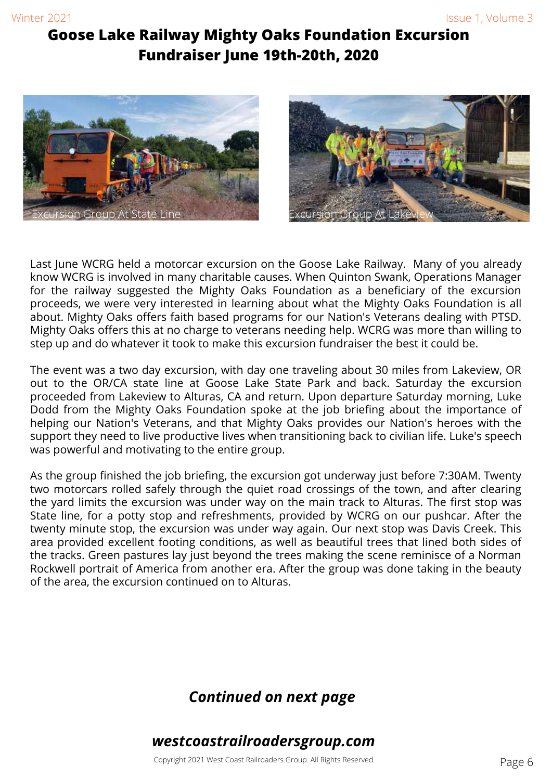#### **Goose Lake Railway Mighty Oaks Foundation Excursion Fundraiser June 19th-20th, 2020**





Last June WCRG held a motorcar excursion on the Goose Lake Railway. Many of you already know WCRG is involved in many charitable causes. When Quinton Swank, Operations Manager for the railway suggested the Mighty Oaks Foundation as a beneficiary of the excursion proceeds, we were very interested in learning about what the Mighty Oaks Foundation is all about. Mighty Oaks offers faith based programs for our Nation's Veterans dealing with PTSD. Mighty Oaks offers this at no charge to veterans needing help. WCRG was more than willing to step up and do whatever it took to make this excursion fundraiser the best it could be.

The event was a two day excursion, with day one traveling about 30 miles from Lakeview, OR out to the OR/CA state line at Goose Lake State Park and back. Saturday the excursion proceeded from Lakeview to Alturas, CA and return. Upon departure Saturday morning, Luke Dodd from the Mighty Oaks Foundation spoke at the job briefing about the importance of helping our Nation's Veterans, and that Mighty Oaks provides our Nation's heroes with the support they need to live productive lives when transitioning back to civilian life. Luke's speech was powerful and motivating to the entire group.

As the group finished the job briefing, the excursion got underway just before 7:30AM. Twenty two motorcars rolled safely through the quiet road crossings of the town, and after clearing the yard limits the excursion was under way on the main track to Alturas. The first stop was State line, for a potty stop and refreshments, provided by WCRG on our pushcar. After the twenty minute stop, the excursion was under way again. Our next stop was Davis Creek. This area provided excellent footing conditions, as well as beautiful trees that lined both sides of the tracks. Green pastures lay just beyond the trees making the scene reminisce of a Norman Rockwell portrait of America from another era. After the group was done taking in the beauty of the area, the excursion continued on to Alturas.

#### *Continued on next page*

#### *westcoastrailroadersgroup.com*

Copyright 2021 West Coast Railroaders Group. All Rights Reserved. **Example 2018** Page 6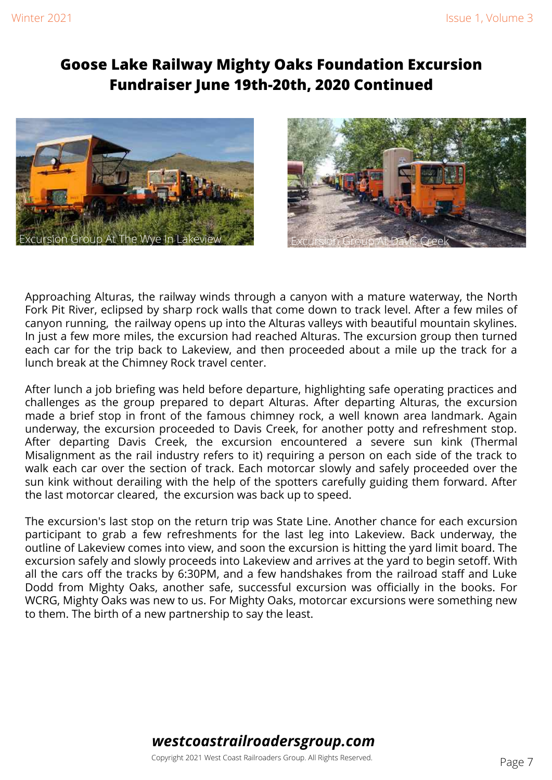#### **Goose Lake Railway Mighty Oaks Foundation Excursion Fundraiser June 19th-20th, 2020 Continued**





Approaching Alturas, the railway winds through a canyon with a mature waterway, the North Fork Pit River, eclipsed by sharp rock walls that come down to track level. After a few miles of canyon running, the railway opens up into the Alturas valleys with beautiful mountain skylines. In just a few more miles, the excursion had reached Alturas. The excursion group then turned each car for the trip back to Lakeview, and then proceeded about a mile up the track for a lunch break at the Chimney Rock travel center.

After lunch a job briefing was held before departure, highlighting safe operating practices and challenges as the group prepared to depart Alturas. After departing Alturas, the excursion made a brief stop in front of the famous chimney rock, a well known area landmark. Again underway, the excursion proceeded to Davis Creek, for another potty and refreshment stop. After departing Davis Creek, the excursion encountered a severe sun kink (Thermal Misalignment as the rail industry refers to it) requiring a person on each side of the track to walk each car over the section of track. Each motorcar slowly and safely proceeded over the sun kink without derailing with the help of the spotters carefully guiding them forward. After the last motorcar cleared, the excursion was back up to speed.

The excursion's last stop on the return trip was State Line. Another chance for each excursion participant to grab a few refreshments for the last leg into Lakeview. Back underway, the outline of Lakeview comes into view, and soon the excursion is hitting the yard limit board. The excursion safely and slowly proceeds into Lakeview and arrives at the yard to begin setoff. With all the cars off the tracks by 6:30PM, and a few handshakes from the railroad staff and Luke Dodd from Mighty Oaks, another safe, successful excursion was officially in the books. For WCRG, Mighty Oaks was new to us. For Mighty Oaks, motorcar excursions were something new to them. The birth of a new partnership to say the least.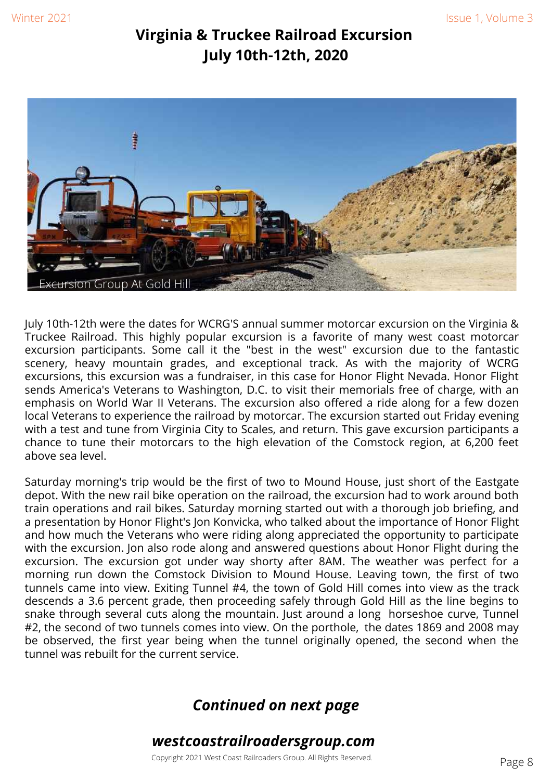#### **Virginia & Truckee Railroad Excursion July 10th-12th, 2020**



July 10th-12th were the dates for WCRG'S annual summer motorcar excursion on the Virginia & Truckee Railroad. This highly popular excursion is a favorite of many west coast motorcar excursion participants. Some call it the "best in the west" excursion due to the fantastic scenery, heavy mountain grades, and exceptional track. As with the majority of WCRG excursions, this excursion was a fundraiser, in this case for Honor Flight Nevada. Honor Flight sends America's Veterans to Washington, D.C. to visit their memorials free of charge, with an emphasis on World War II Veterans. The excursion also offered a ride along for a few dozen local Veterans to experience the railroad by motorcar. The excursion started out Friday evening with a test and tune from Virginia City to Scales, and return. This gave excursion participants a chance to tune their motorcars to the high elevation of the Comstock region, at 6,200 feet above sea level.

Saturday morning's trip would be the first of two to Mound House, just short of the Eastgate depot. With the new rail bike operation on the railroad, the excursion had to work around both train operations and rail bikes. Saturday morning started out with a thorough job briefing, and a presentation by Honor Flight's Jon Konvicka, who talked about the importance of Honor Flight and how much the Veterans who were riding along appreciated the opportunity to participate with the excursion. Jon also rode along and answered questions about Honor Flight during the excursion. The excursion got under way shorty after 8AM. The weather was perfect for a morning run down the Comstock Division to Mound House. Leaving town, the first of two tunnels came into view. Exiting Tunnel #4, the town of Gold Hill comes into view as the track descends a 3.6 percent grade, then proceeding safely through Gold Hill as the line begins to snake through several cuts along the mountain. Just around a long horseshoe curve, Tunnel #2, the second of two tunnels comes into view. On the porthole, the dates 1869 and 2008 may be observed, the first year being when the tunnel originally opened, the second when the tunnel was rebuilt for the current service.

#### *Continued on next page*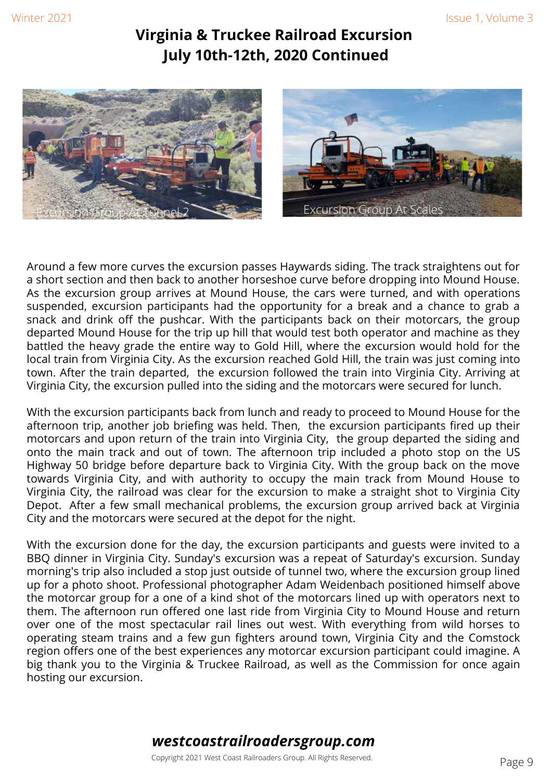#### **Virginia & Truckee Railroad Excursion July 10th-12th, 2020 Continued**



Around a few more curves the excursion passes Haywards siding. The track straightens out for a short section and then back to another horseshoe curve before dropping into Mound House. As the excursion group arrives at Mound House, the cars were turned, and with operations suspended, excursion participants had the opportunity for a break and a chance to grab a snack and drink off the pushcar. With the participants back on their motorcars, the group departed Mound House for the trip up hill that would test both operator and machine as they battled the heavy grade the entire way to Gold Hill, where the excursion would hold for the local train from Virginia City. As the excursion reached Gold Hill, the train was just coming into town. After the train departed, the excursion followed the train into Virginia City. Arriving at Virginia City, the excursion pulled into the siding and the motorcars were secured for lunch.

With the excursion participants back from lunch and ready to proceed to Mound House for the afternoon trip, another job briefing was held. Then, the excursion participants fired up their motorcars and upon return of the train into Virginia City, the group departed the siding and onto the main track and out of town. The afternoon trip included a photo stop on the US Highway 50 bridge before departure back to Virginia City. With the group back on the move towards Virginia City, and with authority to occupy the main track from Mound House to Virginia City, the railroad was clear for the excursion to make a straight shot to Virginia City Depot. After a few small mechanical problems, the excursion group arrived back at Virginia City and the motorcars were secured at the depot for the night.

With the excursion done for the day, the excursion participants and guests were invited to a BBQ dinner in Virginia City. Sunday's excursion was a repeat of Saturday's excursion. Sunday morning's trip also included a stop just outside of tunnel two, where the excursion group lined up for a photo shoot. Professional photographer Adam Weidenbach positioned himself above the motorcar group for a one of a kind shot of the motorcars lined up with operators next to them. The afternoon run offered one last ride from Virginia City to Mound House and return over one of the most spectacular rail lines out west. With everything from wild horses to operating steam trains and a few gun fighters around town, Virginia City and the Comstock region offers one of the best experiences any motorcar excursion participant could imagine. A big thank you to the Virginia & Truckee Railroad, as well as the Commission for once again hosting our excursion.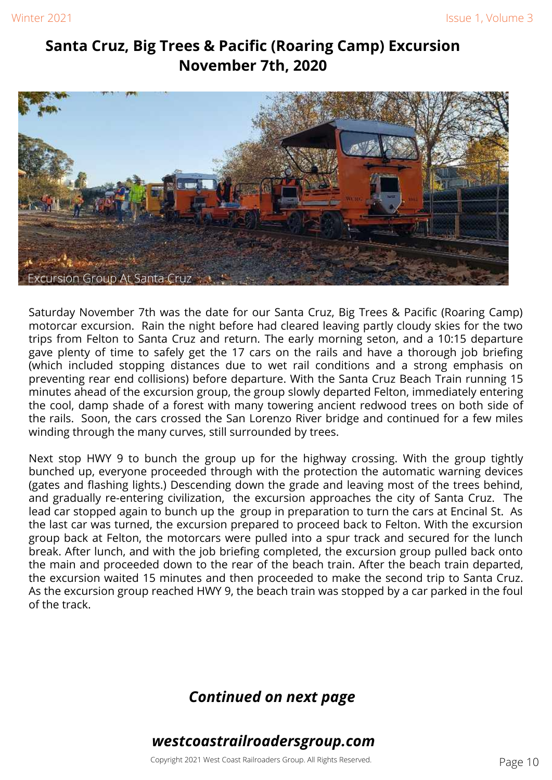#### **Santa Cruz, Big Trees & Pacific (Roaring Camp) Excursion November 7th, 2020**



Saturday November 7th was the date for our Santa Cruz, Big Trees & Pacific (Roaring Camp) motorcar excursion. Rain the night before had cleared leaving partly cloudy skies for the two trips from Felton to Santa Cruz and return. The early morning seton, and a 10:15 departure gave plenty of time to safely get the 17 cars on the rails and have a thorough job briefing (which included stopping distances due to wet rail conditions and a strong emphasis on preventing rear end collisions) before departure. With the Santa Cruz Beach Train running 15 minutes ahead of the excursion group, the group slowly departed Felton, immediately entering the cool, damp shade of a forest with many towering ancient redwood trees on both side of the rails. Soon, the cars crossed the San Lorenzo River bridge and continued for a few miles winding through the many curves, still surrounded by trees.

Next stop HWY 9 to bunch the group up for the highway crossing. With the group tightly bunched up, everyone proceeded through with the protection the automatic warning devices (gates and flashing lights.) Descending down the grade and leaving most of the trees behind, and gradually re-entering civilization, the excursion approaches the city of Santa Cruz. The lead car stopped again to bunch up the group in preparation to turn the cars at Encinal St. As the last car was turned, the excursion prepared to proceed back to Felton. With the excursion group back at Felton, the motorcars were pulled into a spur track and secured for the lunch break. After lunch, and with the job briefing completed, the excursion group pulled back onto the main and proceeded down to the rear of the beach train. After the beach train departed, the excursion waited 15 minutes and then proceeded to make the second trip to Santa Cruz. As the excursion group reached HWY 9, the beach train was stopped by a car parked in the foul of the track.

#### *Continued on next page*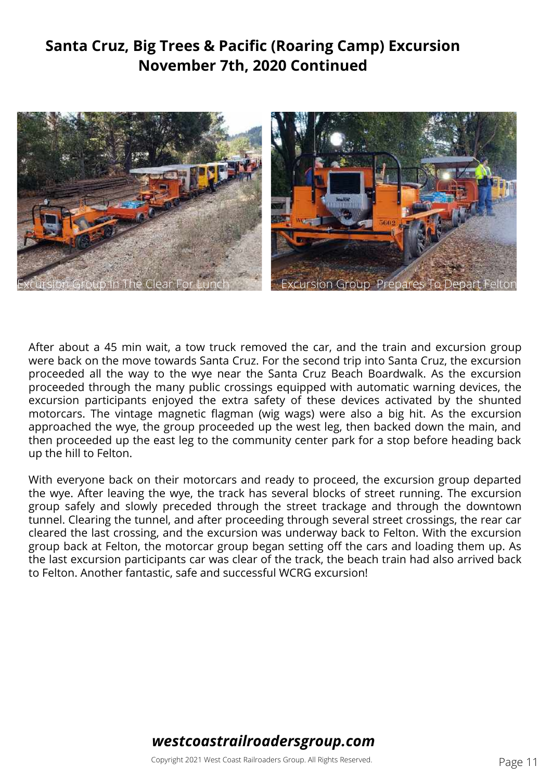### **Santa Cruz, Big Trees & Pacific (Roaring Camp) Excursion November 7th, 2020 Continued**



After about a 45 min wait, a tow truck removed the car, and the train and excursion group were back on the move towards Santa Cruz. For the second trip into Santa Cruz, the excursion proceeded all the way to the wye near the Santa Cruz Beach Boardwalk. As the excursion proceeded through the many public crossings equipped with automatic warning devices, the excursion participants enjoyed the extra safety of these devices activated by the shunted motorcars. The vintage magnetic flagman (wig wags) were also a big hit. As the excursion approached the wye, the group proceeded up the west leg, then backed down the main, and then proceeded up the east leg to the community center park for a stop before heading back up the hill to Felton.

With everyone back on their motorcars and ready to proceed, the excursion group departed the wye. After leaving the wye, the track has several blocks of street running. The excursion group safely and slowly preceded through the street trackage and through the downtown tunnel. Clearing the tunnel, and after proceeding through several street crossings, the rear car cleared the last crossing, and the excursion was underway back to Felton. With the excursion group back at Felton, the motorcar group began setting off the cars and loading them up. As the last excursion participants car was clear of the track, the beach train had also arrived back to Felton. Another fantastic, safe and successful WCRG excursion!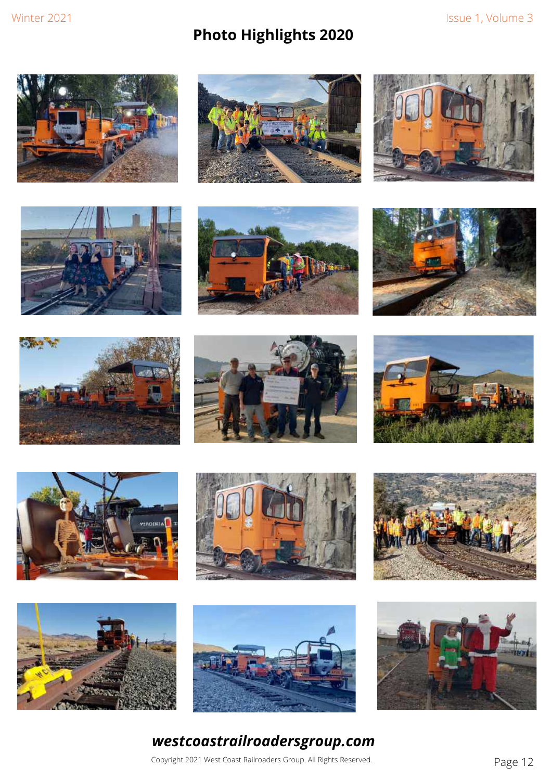# **Photo Highlights 2020**